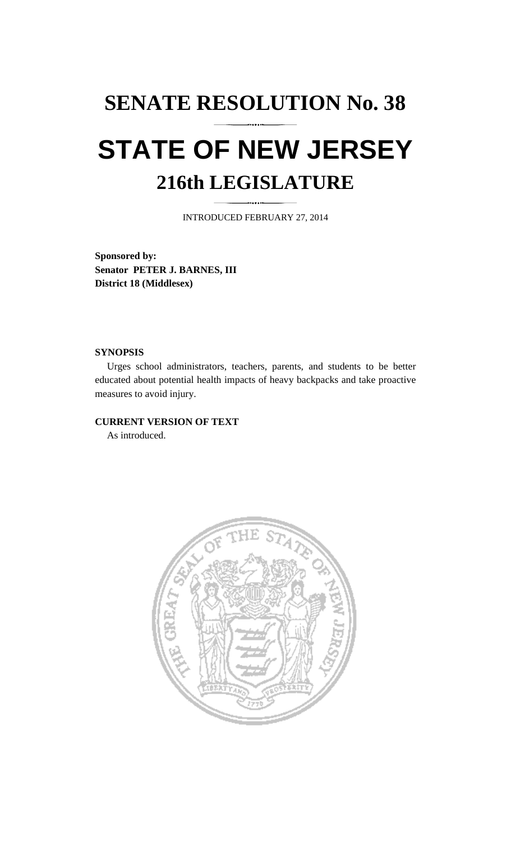# **SENATE RESOLUTION No. 38 STATE OF NEW JERSEY 216th LEGISLATURE**

INTRODUCED FEBRUARY 27, 2014

**Sponsored by: Senator PETER J. BARNES, III District 18 (Middlesex)** 

### **SYNOPSIS**

 Urges school administrators, teachers, parents, and students to be better educated about potential health impacts of heavy backpacks and take proactive measures to avoid injury.

## **CURRENT VERSION OF TEXT**

As introduced.

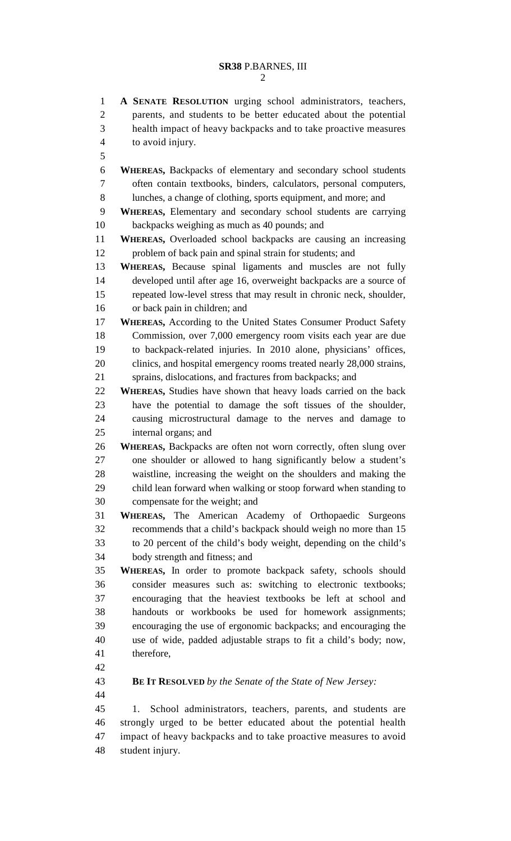#### **SR38** P.BARNES, III 2

1 **A SENATE RESOLUTION** urging school administrators, teachers, 2 parents, and students to be better educated about the potential 3 health impact of heavy backpacks and to take proactive measures 4 to avoid injury. 5 6 **WHEREAS,** Backpacks of elementary and secondary school students 7 often contain textbooks, binders, calculators, personal computers, 8 lunches, a change of clothing, sports equipment, and more; and 9 **WHEREAS,** Elementary and secondary school students are carrying 10 backpacks weighing as much as 40 pounds; and 11 **WHEREAS,** Overloaded school backpacks are causing an increasing 12 problem of back pain and spinal strain for students; and 13 **WHEREAS,** Because spinal ligaments and muscles are not fully 14 developed until after age 16, overweight backpacks are a source of 15 repeated low-level stress that may result in chronic neck, shoulder, 16 or back pain in children; and 17 **WHEREAS,** According to the United States Consumer Product Safety 18 Commission, over 7,000 emergency room visits each year are due 19 to backpack-related injuries. In 2010 alone, physicians' offices, 20 clinics, and hospital emergency rooms treated nearly 28,000 strains, 21 sprains, dislocations, and fractures from backpacks; and 22 **WHEREAS,** Studies have shown that heavy loads carried on the back 23 have the potential to damage the soft tissues of the shoulder, 24 causing microstructural damage to the nerves and damage to 25 internal organs; and 26 **WHEREAS,** Backpacks are often not worn correctly, often slung over 27 one shoulder or allowed to hang significantly below a student's 28 waistline, increasing the weight on the shoulders and making the 29 child lean forward when walking or stoop forward when standing to 30 compensate for the weight; and 31 **WHEREAS,** The American Academy of Orthopaedic Surgeons 32 recommends that a child's backpack should weigh no more than 15 33 to 20 percent of the child's body weight, depending on the child's 34 body strength and fitness; and 35 **WHEREAS,** In order to promote backpack safety, schools should 36 consider measures such as: switching to electronic textbooks; 37 encouraging that the heaviest textbooks be left at school and 38 handouts or workbooks be used for homework assignments; 39 encouraging the use of ergonomic backpacks; and encouraging the 40 use of wide, padded adjustable straps to fit a child's body; now, 41 therefore, 42 43 **BE IT RESOLVED** *by the Senate of the State of New Jersey:* 44 45 1. School administrators, teachers, parents, and students are 46 strongly urged to be better educated about the potential health 47 impact of heavy backpacks and to take proactive measures to avoid 48 student injury.

- 
-